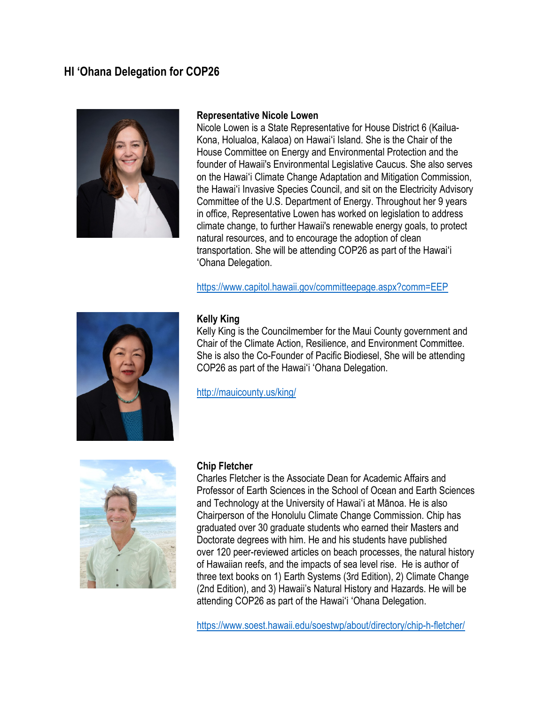# **HI 'Ohana Delegation for COP26**



#### **Representative Nicole Lowen**

Nicole Lowen is a State Representative for House District 6 (Kailua-Kona, Holualoa, Kalaoa) on Hawaiʻi Island. She is the Chair of the House Committee on Energy and Environmental Protection and the founder of Hawaii's Environmental Legislative Caucus. She also serves on the Hawaiʻi Climate Change Adaptation and Mitigation Commission, the Hawaiʻi Invasive Species Council, and sit on the Electricity Advisory Committee of the U.S. Department of Energy. Throughout her 9 years in office, Representative Lowen has worked on legislation to address climate change, to further Hawaii's renewable energy goals, to protect natural resources, and to encourage the adoption of clean transportation. She will be attending COP26 as part of the Hawaiʻi ʻOhana Delegation.

<https://www.capitol.hawaii.gov/committeepage.aspx?comm=EEP>



#### **Kelly King**

Kelly King is the Councilmember for the Maui County government and Chair of the Climate Action, Resilience, and Environment Committee. She is also the Co-Founder of Pacific Biodiesel, She will be attending COP26 as part of the Hawaiʻi ʻOhana Delegation.

<http://mauicounty.us/king/>



#### **Chip Fletcher**

Charles Fletcher is the Associate Dean for Academic Affairs and Professor of Earth Sciences in the School of Ocean and Earth Sciences and Technology at the University of Hawaiʻi at Mānoa. He is also Chairperson of the Honolulu Climate Change Commission. Chip has graduated over 30 graduate students who earned their Masters and Doctorate degrees with him. He and his students have published over 120 peer-reviewed articles on beach processes, the natural history of Hawaiian reefs, and the impacts of sea level rise. He is author of three text books on 1) Earth Systems (3rd Edition), 2) Climate Change (2nd Edition), and 3) Hawaii's Natural History and Hazards. He will be attending COP26 as part of the Hawaiʻi ʻOhana Delegation.

<https://www.soest.hawaii.edu/soestwp/about/directory/chip-h-fletcher/>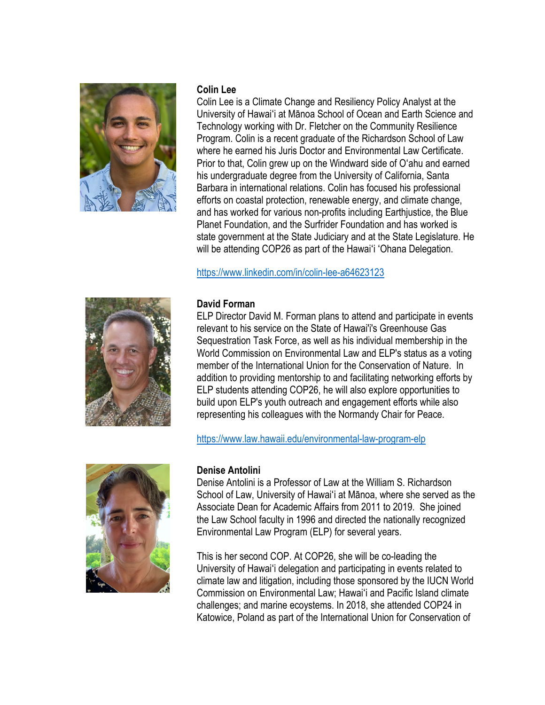

#### **Colin Lee**

Colin Lee is a Climate Change and Resiliency Policy Analyst at the University of Hawaiʻi at Mānoa School of Ocean and Earth Science and Technology working with Dr. Fletcher on the Community Resilience Program. Colin is a recent graduate of the Richardson School of Law where he earned his Juris Doctor and Environmental Law Certificate. Prior to that, Colin grew up on the Windward side of Oʻahu and earned his undergraduate degree from the University of California, Santa Barbara in international relations. Colin has focused his professional efforts on coastal protection, renewable energy, and climate change, and has worked for various non-profits including Earthjustice, the Blue Planet Foundation, and the Surfrider Foundation and has worked is state government at the State Judiciary and at the State Legislature. He will be attending COP26 as part of the Hawaiʻi ʻOhana Delegation.

# <https://www.linkedin.com/in/colin-lee-a64623123>



# **David Forman**

ELP Director David M. Forman plans to attend and participate in events relevant to his service on the State of Hawai'i's Greenhouse Gas Sequestration Task Force, as well as his individual membership in the World Commission on Environmental Law and ELP's status as a voting member of the International Union for the Conservation of Nature. In addition to providing mentorship to and facilitating networking efforts by ELP students attending COP26, he will also explore opportunities to build upon ELP's youth outreach and engagement efforts while also representing his colleagues with the Normandy Chair for Peace.

<https://www.law.hawaii.edu/environmental-law-program-elp>



## **Denise Antolini**

Denise Antolini is a Professor of Law at the William S. Richardson School of Law, University of Hawaiʻi at Mānoa, where she served as the Associate Dean for Academic Affairs from 2011 to 2019. She joined the Law School faculty in 1996 and directed the nationally recognized Environmental Law Program (ELP) for several years.

This is her second COP. At COP26, she will be co-leading the University of Hawaiʻi delegation and participating in events related to climate law and litigation, including those sponsored by the IUCN World Commission on Environmental Law; Hawaiʻi and Pacific Island climate challenges; and marine ecoystems. In 2018, she attended COP24 in Katowice, Poland as part of the International Union for Conservation of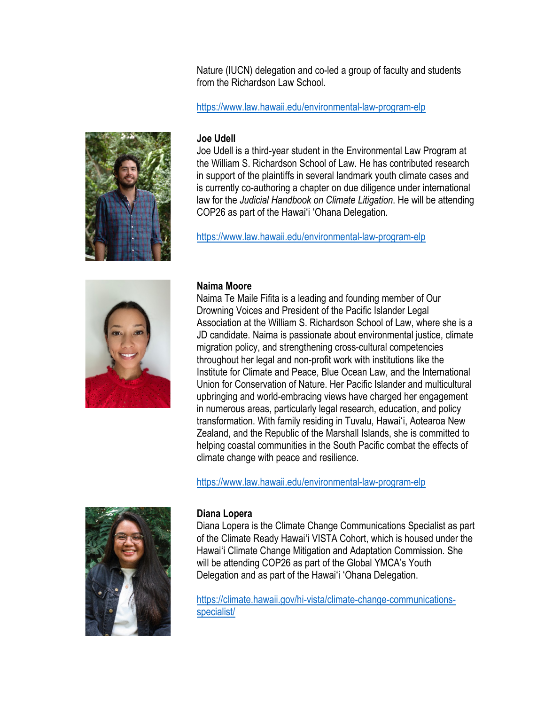Nature (IUCN) delegation and co-led a group of faculty and students from the Richardson Law School

# <https://www.law.hawaii.edu/environmental-law-program-elp>

## **Joe Udell**

Joe Udell is a third-year student in the Environmental Law Program at the William S. Richardson School of Law. He has contributed research in support of the plaintiffs in several landmark youth climate cases and is currently co-authoring a chapter on due diligence under international law for the *Judicial Handbook on Climate Litigation*. He will be attending COP26 as part of the Hawaiʻi ʻOhana Delegation.

<https://www.law.hawaii.edu/environmental-law-program-elp>



## **Naima Moore**

Naima Te Maile Fifita is a leading and founding member of Our Drowning Voices and President of the Pacific Islander Legal Association at the William S. Richardson School of Law, where she is a JD candidate. Naima is passionate about environmental justice, climate migration policy, and strengthening cross-cultural competencies throughout her legal and non-profit work with institutions like the Institute for Climate and Peace, Blue Ocean Law, and the International Union for Conservation of Nature. Her Pacific Islander and multicultural upbringing and world-embracing views have charged her engagement in numerous areas, particularly legal research, education, and policy transformation. With family residing in Tuvalu, Hawaiʻi, Aotearoa New Zealand, and the Republic of the Marshall Islands, she is committed to helping coastal communities in the South Pacific combat the effects of climate change with peace and resilience.

<https://www.law.hawaii.edu/environmental-law-program-elp>



# **Diana Lopera**

Diana Lopera is the Climate Change Communications Specialist as part of the Climate Ready Hawaiʻi VISTA Cohort, which is housed under the Hawaiʻi Climate Change Mitigation and Adaptation Commission. She will be attending COP26 as part of the Global YMCA's Youth Delegation and as part of the Hawaiʻi ʻOhana Delegation.

[https://climate.hawaii.gov/hi-vista/climate-change-communications](https://climate.hawaii.gov/hi-vista/climate-change-communications-specialist/)[specialist/](https://climate.hawaii.gov/hi-vista/climate-change-communications-specialist/)